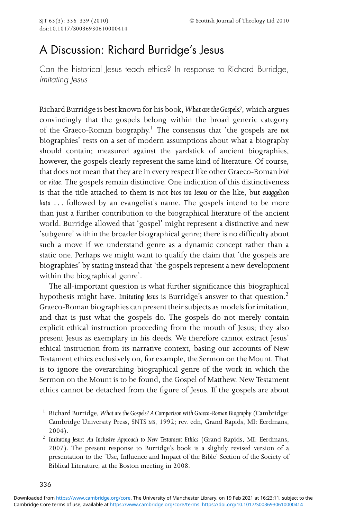## A Discussion: Richard Burridge's Jesus

Can the historical Jesus teach ethics? In response to Richard Burridge, Imitating Jesus

Richard Burridge is best known for his book, *What are the Gospels?*, which argues convincingly that the gospels belong within the broad generic category of the Graeco-Roman biography.<sup>1</sup> The consensus that 'the gospels are *not* biographies' rests on a set of modern assumptions about what a biography should contain; measured against the yardstick of ancient biographies, however, the gospels clearly represent the same kind of literature. Of course, that does not mean that they are in every respect like other Graeco-Roman *bioi* or *vitae*. The gospels remain distinctive. One indication of this distinctiveness is that the title attached to them is not *bios tou Iesou* or the like, but *euaggelion kata ...* followed by an evangelist's name. The gospels intend to be more than just a further contribution to the biographical literature of the ancient world. Burridge allowed that 'gospel' might represent a distinctive and new 'subgenre' within the broader biographical genre; there is no difficulty about such a move if we understand genre as a dynamic concept rather than a static one. Perhaps we might want to qualify the claim that 'the gospels are biographies' by stating instead that 'the gospels represent a new development within the biographical genre'.

The all-important question is what further significance this biographical hypothesis might have. *Imitating Jesus* is Burridge's answer to that question.<sup>2</sup> Graeco-Roman biographies can present their subjects as models for imitation, and that is just what the gospels do. The gospels do not merely contain explicit ethical instruction proceeding from the mouth of Jesus; they also present Jesus as exemplary in his deeds. We therefore cannot extract Jesus' ethical instruction from its narrative context, basing our accounts of New Testament ethics exclusively on, for example, the Sermon on the Mount. That is to ignore the overarching biographical genre of the work in which the Sermon on the Mount is to be found, the Gospel of Matthew. New Testament ethics cannot be detached from the figure of Jesus. If the gospels are about

<sup>2</sup> Imitating Jesus: An Inclusive Approach to New Testament Ethics (Grand Rapids, MI: Eerdmans, 2007). The present response to Burridge's book is a slightly revised version of a presentation to the 'Use, Influence and Impact of the Bible' Section of the Society of Biblical Literature, at the Boston meeting in 2008.

<sup>1</sup> Richard Burridge, *What are the Gospels? A Comparison with Graeco-Roman Biography*(Cambridge: Cambridge University Press, SNTS MS, 1992; rev. edn, Grand Rapids, MI: Eerdmans, 2004).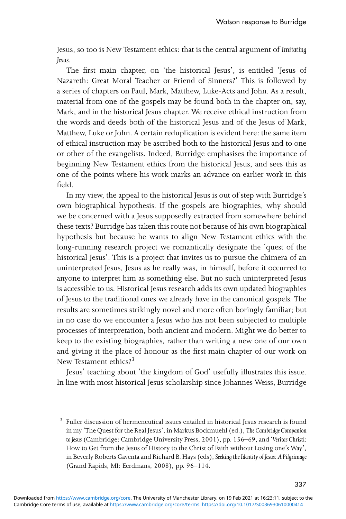Jesus, so too is New Testament ethics: that is the central argument of *Imitating Jesus*.

The first main chapter, on 'the historical Jesus', is entitled 'Jesus of Nazareth: Great Moral Teacher or Friend of Sinners?' This is followed by a series of chapters on Paul, Mark, Matthew, Luke-Acts and John. As a result, material from one of the gospels may be found both in the chapter on, say, Mark, and in the historical Jesus chapter. We receive ethical instruction from the words and deeds both of the historical Jesus and of the Jesus of Mark, Matthew, Luke or John. A certain reduplication is evident here: the same item of ethical instruction may be ascribed both to the historical Jesus and to one or other of the evangelists. Indeed, Burridge emphasises the importance of beginning New Testament ethics from the historical Jesus, and sees this as one of the points where his work marks an advance on earlier work in this field.

In my view, the appeal to the historical Jesus is out of step with Burridge's own biographical hypothesis. If the gospels are biographies, why should we be concerned with a Jesus supposedly extracted from somewhere behind these texts? Burridge has taken this route not because of his own biographical hypothesis but because he wants to align New Testament ethics with the long-running research project we romantically designate the 'quest of the historical Jesus'. This is a project that invites us to pursue the chimera of an uninterpreted Jesus, Jesus as he really was, in himself, before it occurred to anyone to interpret him as something else. But no such uninterpreted Jesus is accessible to us. Historical Jesus research adds its own updated biographies of Jesus to the traditional ones we already have in the canonical gospels. The results are sometimes strikingly novel and more often boringly familiar; but in no case do we encounter a Jesus who has not been subjected to multiple processes of interpretation, both ancient and modern. Might we do better to keep to the existing biographies, rather than writing a new one of our own and giving it the place of honour as the first main chapter of our work on New Testament ethics?<sup>3</sup>

Jesus' teaching about 'the kingdom of God' usefully illustrates this issue. In line with most historical Jesus scholarship since Johannes Weiss, Burridge

<sup>&</sup>lt;sup>3</sup> Fuller discussion of hermeneutical issues entailed in historical Jesus research is found in my 'The Quest for the Real Jesus', in Markus Bockmuehl (ed.), *The Cambridge Companion to Jesus* (Cambridge: Cambridge University Press, 2001), pp. 156–69, and '*Veritas Christi:* How to Get from the Jesus of History to the Christ of Faith without Losing one's Way', in Beverly Roberts Gaventa and Richard B. Hays (eds), *Seeking the Identity of Jesus: A Pilgrimage* (Grand Rapids, MI: Eerdmans, 2008), pp. 96–114.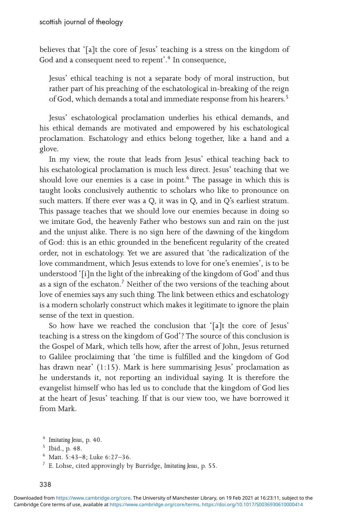believes that '[a]t the core of Jesus' teaching is a stress on the kingdom of God and a consequent need to repent'.<sup>4</sup> In consequence,

Jesus' ethical teaching is not a separate body of moral instruction, but rather part of his preaching of the eschatological in-breaking of the reign of God, which demands a total and immediate response from his hearers.<sup>5</sup>

Jesus' eschatological proclamation underlies his ethical demands, and his ethical demands are motivated and empowered by his eschatological proclamation. Eschatology and ethics belong together, like a hand and a glove.

In my view, the route that leads from Jesus' ethical teaching back to his eschatological proclamation is much less direct. Jesus' teaching that we should love our enemies is a case in point.<sup>6</sup> The passage in which this is taught looks conclusively authentic to scholars who like to pronounce on such matters. If there ever was a Q, it was in Q, and in Q's earliest stratum. This passage teaches that we should love our enemies because in doing so we imitate God, the heavenly Father who bestows sun and rain on the just and the unjust alike. There is no sign here of the dawning of the kingdom of God: this is an ethic grounded in the beneficent regularity of the created order, not in eschatology. Yet we are assured that 'the radicalization of the love commandment, which Jesus extends to love for one's enemies', is to be understood '[i]n the light of the inbreaking of the kingdom of God' and thus as a sign of the eschaton.<sup>7</sup> Neither of the two versions of the teaching about love of enemies says any such thing. The link between ethics and eschatology is a modern scholarly construct which makes it legitimate to ignore the plain sense of the text in question.

So how have we reached the conclusion that '[a]t the core of Jesus' teaching is a stress on the kingdom of God'? The source of this conclusion is the Gospel of Mark, which tells how, after the arrest of John, Jesus returned to Galilee proclaiming that 'the time is fulfilled and the kingdom of God has drawn near' (1:15). Mark is here summarising Jesus' proclamation as he understands it, not reporting an individual saying. It is therefore the evangelist himself who has led us to conclude that the kingdom of God lies at the heart of Jesus' teaching. If that is our view too, we have borrowed it from Mark.

<sup>6</sup> Matt. 5:43–8; Luke 6:27–36.

<sup>7</sup> E. Lohse, cited approvingly by Burridge, *Imitating Jesus*, p. 55.

<sup>4</sup> *Imitating Jesus*, p. 40.

<sup>5</sup> Ibid., p. 48.